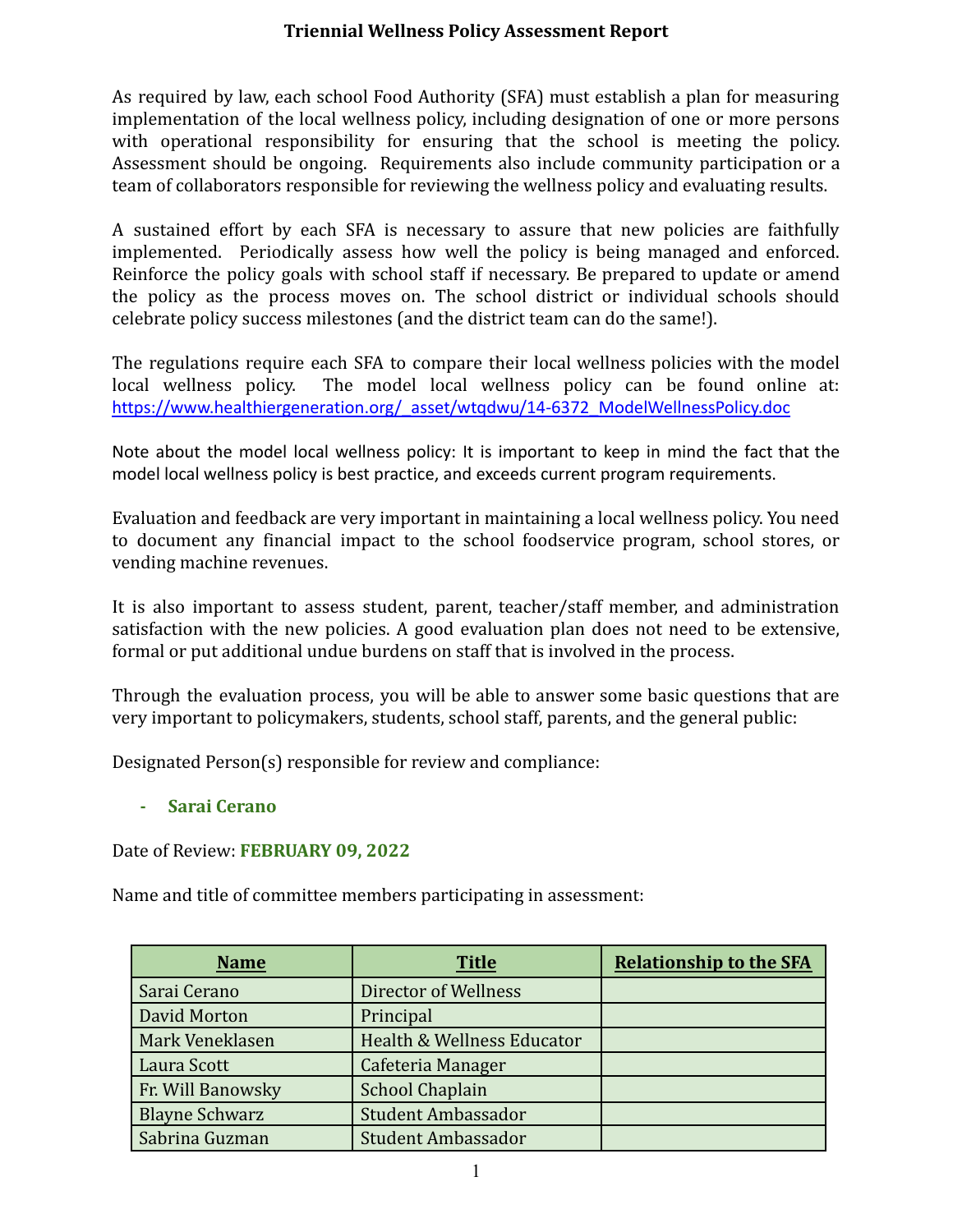## **Triennial Wellness Policy Assessment Report**

As required by law, each school Food Authority (SFA) must establish a plan for measuring implementation of the local wellness policy, including designation of one or more persons with operational responsibility for ensuring that the school is meeting the policy. Assessment should be ongoing. Requirements also include community participation or a team of collaborators responsible for reviewing the wellness policy and evaluating results.

A sustained effort by each SFA is necessary to assure that new policies are faithfully implemented. Periodically assess how well the policy is being managed and enforced. Reinforce the policy goals with school staff if necessary. Be prepared to update or amend the policy as the process moves on. The school district or individual schools should celebrate policy success milestones (and the district team can do the same!).

The regulations require each SFA to compare their local wellness policies with the model local wellness policy. The model local wellness policy can be found online at: [https://www.healthiergeneration.org/\\_asset/wtqdwu/14-6372\\_ModelWellnessPolicy.doc](https://www.healthiergeneration.org/_asset/wtqdwu/14-6372_ModelWellnessPolicy.doc)

Note about the model local wellness policy: It is important to keep in mind the fact that the model local wellness policy is best practice, and exceeds current program requirements.

Evaluation and feedback are very important in maintaining a local wellness policy. You need to document any financial impact to the school foodservice program, school stores, or vending machine revenues.

It is also important to assess student, parent, teacher/staff member, and administration satisfaction with the new policies. A good evaluation plan does not need to be extensive, formal or put additional undue burdens on staff that is involved in the process.

Through the evaluation process, you will be able to answer some basic questions that are very important to policymakers, students, school staff, parents, and the general public:

Designated Person(s) responsible for review and compliance:

**- Sarai Cerano**

Date of Review: **FEBRUARY 09, 2022**

Name and title of committee members participating in assessment:

| <b>Name</b>            | <b>Title</b>               | <b>Relationship to the SFA</b> |
|------------------------|----------------------------|--------------------------------|
| Sarai Cerano           | Director of Wellness       |                                |
| David Morton           | Principal                  |                                |
| <b>Mark Veneklasen</b> | Health & Wellness Educator |                                |
| Laura Scott            | Cafeteria Manager          |                                |
| Fr. Will Banowsky      | <b>School Chaplain</b>     |                                |
| <b>Blayne Schwarz</b>  | <b>Student Ambassador</b>  |                                |
| Sabrina Guzman         | <b>Student Ambassador</b>  |                                |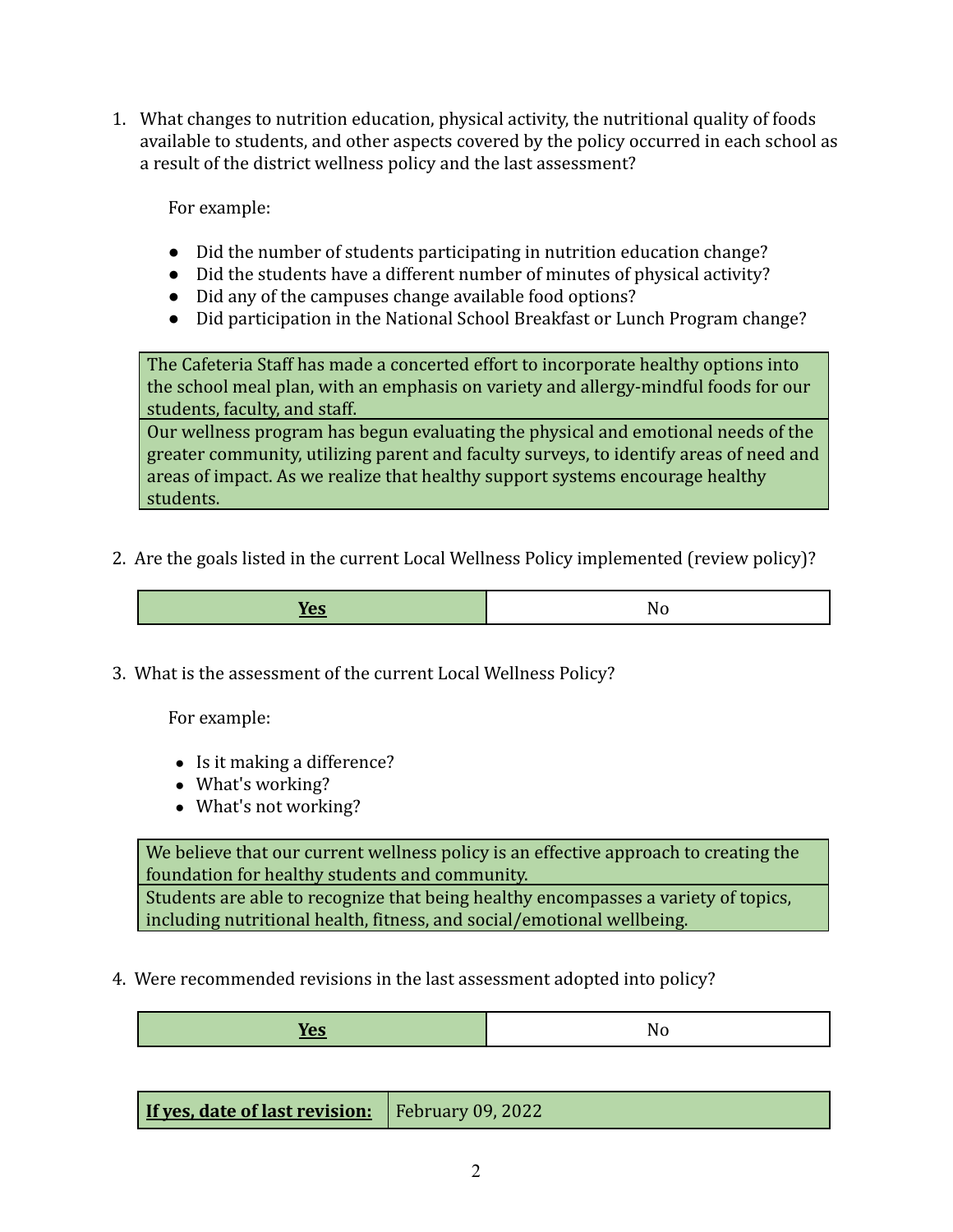1. What changes to nutrition education, physical activity, the nutritional quality of foods available to students, and other aspects covered by the policy occurred in each school as a result of the district wellness policy and the last assessment?

For example:

- Did the number of students participating in nutrition education change?
- Did the students have a different number of minutes of physical activity?
- Did any of the campuses change available food options?
- Did participation in the National School Breakfast or Lunch Program change?

The Cafeteria Staff has made a concerted effort to incorporate healthy options into the school meal plan, with an emphasis on variety and allergy-mindful foods for our students, faculty, and staff.

Our wellness program has begun evaluating the physical and emotional needs of the greater community, utilizing parent and faculty surveys, to identify areas of need and areas of impact. As we realize that healthy support systems encourage healthy students.

2. Are the goals listed in the current Local Wellness Policy implemented (review policy)?

| عصده |  |
|------|--|
|      |  |

3. What is the assessment of the current Local Wellness Policy?

For example:

- Is it making a difference?
- What's working?
- What's not working?

We believe that our current wellness policy is an effective approach to creating the foundation for healthy students and community.

Students are able to recognize that being healthy encompasses a variety of topics, including nutritional health, fitness, and social/emotional wellbeing.

4. Were recommended revisions in the last assessment adopted into policy?

| <b>If yes, date of last revision:</b>   February 09, 2022 |  |
|-----------------------------------------------------------|--|
|-----------------------------------------------------------|--|